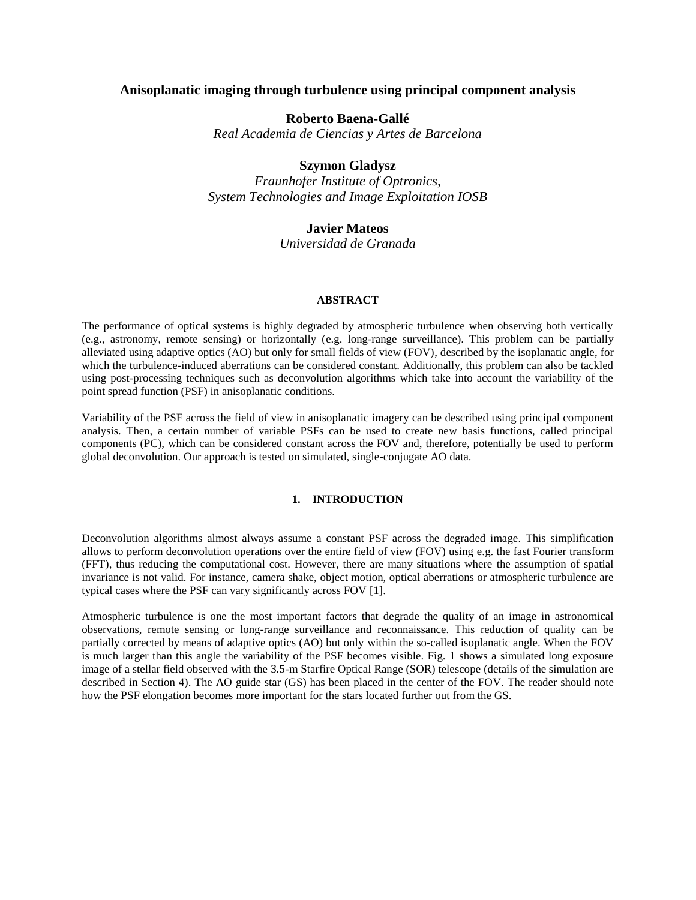# **Anisoplanatic imaging through turbulence using principal component analysis**

## **Roberto Baena-Gallé**

*Real Academia de Ciencias y Artes de Barcelona*

# **Szymon Gladysz**

*Fraunhofer Institute of Optronics, System Technologies and Image Exploitation IOSB*

# **Javier Mateos**

*Universidad de Granada*

### **ABSTRACT**

The performance of optical systems is highly degraded by atmospheric turbulence when observing both vertically (e.g., astronomy, remote sensing) or horizontally (e.g. long-range surveillance). This problem can be partially alleviated using adaptive optics (AO) but only for small fields of view (FOV), described by the isoplanatic angle, for which the turbulence-induced aberrations can be considered constant. Additionally, this problem can also be tackled using post-processing techniques such as deconvolution algorithms which take into account the variability of the point spread function (PSF) in anisoplanatic conditions.

Variability of the PSF across the field of view in anisoplanatic imagery can be described using principal component analysis. Then, a certain number of variable PSFs can be used to create new basis functions, called principal components (PC), which can be considered constant across the FOV and, therefore, potentially be used to perform global deconvolution. Our approach is tested on simulated, single-conjugate AO data.

## **1. INTRODUCTION**

Deconvolution algorithms almost always assume a constant PSF across the degraded image. This simplification allows to perform deconvolution operations over the entire field of view (FOV) using e.g. the fast Fourier transform (FFT), thus reducing the computational cost. However, there are many situations where the assumption of spatial invariance is not valid. For instance, camera shake, object motion, optical aberrations or atmospheric turbulence are typical cases where the PSF can vary significantly across FOV [1].

Atmospheric turbulence is one the most important factors that degrade the quality of an image in astronomical observations, remote sensing or long-range surveillance and reconnaissance. This reduction of quality can be partially corrected by means of adaptive optics (AO) but only within the so-called isoplanatic angle. When the FOV is much larger than this angle the variability of the PSF becomes visible. Fig. 1 shows a simulated long exposure image of a stellar field observed with the 3.5-m Starfire Optical Range (SOR) telescope (details of the simulation are described in Section 4). The AO guide star (GS) has been placed in the center of the FOV. The reader should note how the PSF elongation becomes more important for the stars located further out from the GS.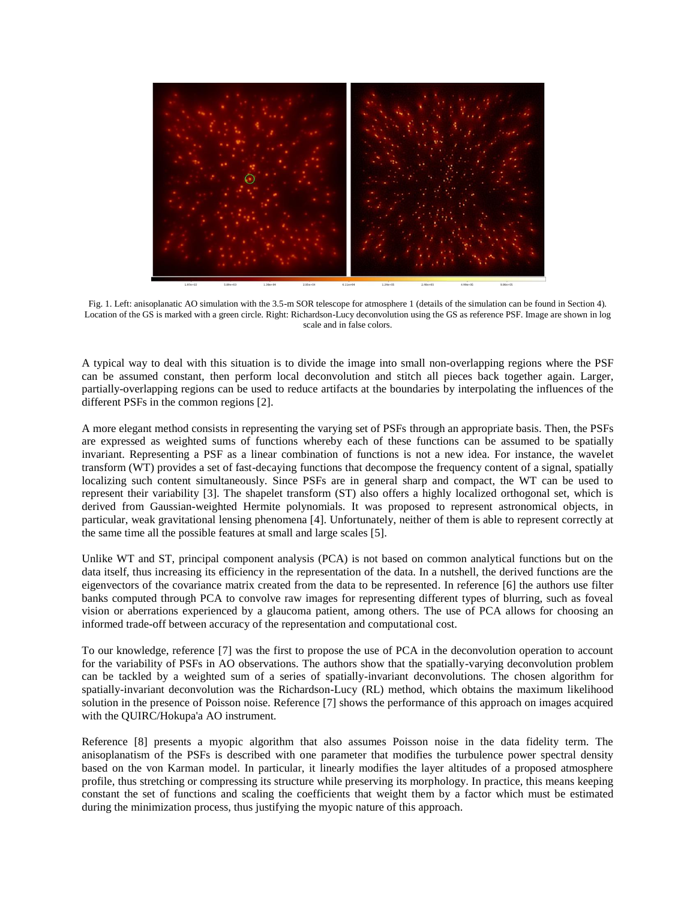

Fig. 1. Left: anisoplanatic AO simulation with the 3.5-m SOR telescope for atmosphere 1 (details of the simulation can be found in Section 4). Location of the GS is marked with a green circle. Right: Richardson-Lucy deconvolution using the GS as reference PSF. Image are shown in log scale and in false colors.

A typical way to deal with this situation is to divide the image into small non-overlapping regions where the PSF can be assumed constant, then perform local deconvolution and stitch all pieces back together again. Larger, partially-overlapping regions can be used to reduce artifacts at the boundaries by interpolating the influences of the different PSFs in the common regions [2].

A more elegant method consists in representing the varying set of PSFs through an appropriate basis. Then, the PSFs are expressed as weighted sums of functions whereby each of these functions can be assumed to be spatially invariant. Representing a PSF as a linear combination of functions is not a new idea. For instance, the wavelet transform (WT) provides a set of fast-decaying functions that decompose the frequency content of a signal, spatially localizing such content simultaneously. Since PSFs are in general sharp and compact, the WT can be used to represent their variability [3]. The shapelet transform (ST) also offers a highly localized orthogonal set, which is derived from Gaussian-weighted Hermite polynomials. It was proposed to represent astronomical objects, in particular, weak gravitational lensing phenomena [4]. Unfortunately, neither of them is able to represent correctly at the same time all the possible features at small and large scales [5].

Unlike WT and ST, principal component analysis (PCA) is not based on common analytical functions but on the data itself, thus increasing its efficiency in the representation of the data. In a nutshell, the derived functions are the eigenvectors of the covariance matrix created from the data to be represented. In reference [6] the authors use filter banks computed through PCA to convolve raw images for representing different types of blurring, such as foveal vision or aberrations experienced by a glaucoma patient, among others. The use of PCA allows for choosing an informed trade-off between accuracy of the representation and computational cost.

To our knowledge, reference [7] was the first to propose the use of PCA in the deconvolution operation to account for the variability of PSFs in AO observations. The authors show that the spatially-varying deconvolution problem can be tackled by a weighted sum of a series of spatially-invariant deconvolutions. The chosen algorithm for spatially-invariant deconvolution was the Richardson-Lucy (RL) method, which obtains the maximum likelihood solution in the presence of Poisson noise. Reference [7] shows the performance of this approach on images acquired with the QUIRC/Hokupa'a AO instrument.

Reference [8] presents a myopic algorithm that also assumes Poisson noise in the data fidelity term. The anisoplanatism of the PSFs is described with one parameter that modifies the turbulence power spectral density based on the von Karman model. In particular, it linearly modifies the layer altitudes of a proposed atmosphere profile, thus stretching or compressing its structure while preserving its morphology. In practice, this means keeping constant the set of functions and scaling the coefficients that weight them by a factor which must be estimated during the minimization process, thus justifying the myopic nature of this approach.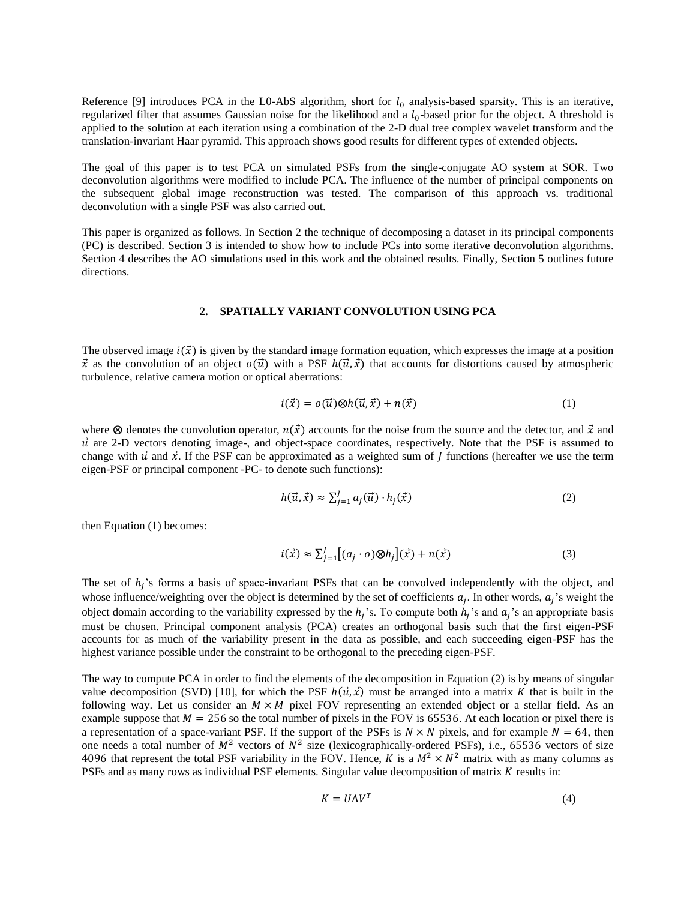Reference [9] introduces PCA in the L0-AbS algorithm, short for  $l_0$  analysis-based sparsity. This is an iterative, regularized filter that assumes Gaussian noise for the likelihood and a  $l_0$ -based prior for the object. A threshold is applied to the solution at each iteration using a combination of the 2-D dual tree complex wavelet transform and the translation-invariant Haar pyramid. This approach shows good results for different types of extended objects.

The goal of this paper is to test PCA on simulated PSFs from the single-conjugate AO system at SOR. Two deconvolution algorithms were modified to include PCA. The influence of the number of principal components on the subsequent global image reconstruction was tested. The comparison of this approach vs. traditional deconvolution with a single PSF was also carried out.

This paper is organized as follows. In Section 2 the technique of decomposing a dataset in its principal components (PC) is described. Section 3 is intended to show how to include PCs into some iterative deconvolution algorithms. Section 4 describes the AO simulations used in this work and the obtained results. Finally, Section 5 outlines future directions.

#### **2. SPATIALLY VARIANT CONVOLUTION USING PCA**

The observed image  $i(\vec{x})$  is given by the standard image formation equation, which expresses the image at a position  $\vec{x}$  as the convolution of an object  $o(\vec{u})$  with a PSF  $h(\vec{u}, \vec{x})$  that accounts for distortions caused by atmospheric turbulence, relative camera motion or optical aberrations:

$$
i(\vec{x}) = o(\vec{u}) \otimes h(\vec{u}, \vec{x}) + n(\vec{x}) \tag{1}
$$

where  $\otimes$  denotes the convolution operator,  $n(\vec{x})$  accounts for the noise from the source and the detector, and  $\vec{x}$  and  $\vec{u}$  are 2-D vectors denoting image-, and object-space coordinates, respectively. Note that the PSF is assumed to change with  $\vec{u}$  and  $\vec{x}$ . If the PSF can be approximated as a weighted sum of *J* functions (hereafter we use the term eigen-PSF or principal component -PC- to denote such functions):

$$
h(\vec{u}, \vec{x}) \approx \sum_{j=1}^{J} a_j(\vec{u}) \cdot h_j(\vec{x}) \tag{2}
$$

then Equation (1) becomes:

$$
i(\vec{x}) \approx \sum_{j=1}^{J} [(a_j \cdot o) \otimes h_j](\vec{x}) + n(\vec{x}) \tag{3}
$$

The set of  $h_j$ 's forms a basis of space-invariant PSFs that can be convolved independently with the object, and whose influence/weighting over the object is determined by the set of coefficients  $a_j$ . In other words,  $a_j$ 's weight the object domain according to the variability expressed by the  $h_j$ 's. To compute both  $h_j$ 's and  $a_j$ 's an appropriate basis must be chosen. Principal component analysis (PCA) creates an orthogonal basis such that the first eigen-PSF accounts for as much of the variability present in the data as possible, and each succeeding eigen-PSF has the highest variance possible under the constraint to be orthogonal to the preceding eigen-PSF.

The way to compute PCA in order to find the elements of the decomposition in Equation (2) is by means of singular value decomposition (SVD) [10], for which the PSF  $h(\vec{u}, \vec{x})$  must be arranged into a matrix K that is built in the following way. Let us consider an  $M \times M$  pixel FOV representing an extended object or a stellar field. As an example suppose that  $M = 256$  so the total number of pixels in the FOV is 65536. At each location or pixel there is a representation of a space-variant PSF. If the support of the PSFs is  $N \times N$  pixels, and for example  $N = 64$ , then one needs a total number of  $M^2$  vectors of  $N^2$  size (lexicographically-ordered PSFs), i.e., 65536 vectors of size 4096 that represent the total PSF variability in the FOV. Hence, K is a  $M^2 \times N^2$  matrix with as many columns as PSFs and as many rows as individual PSF elements. Singular value decomposition of matrix  $K$  results in:

$$
K = U\Lambda V^T \tag{4}
$$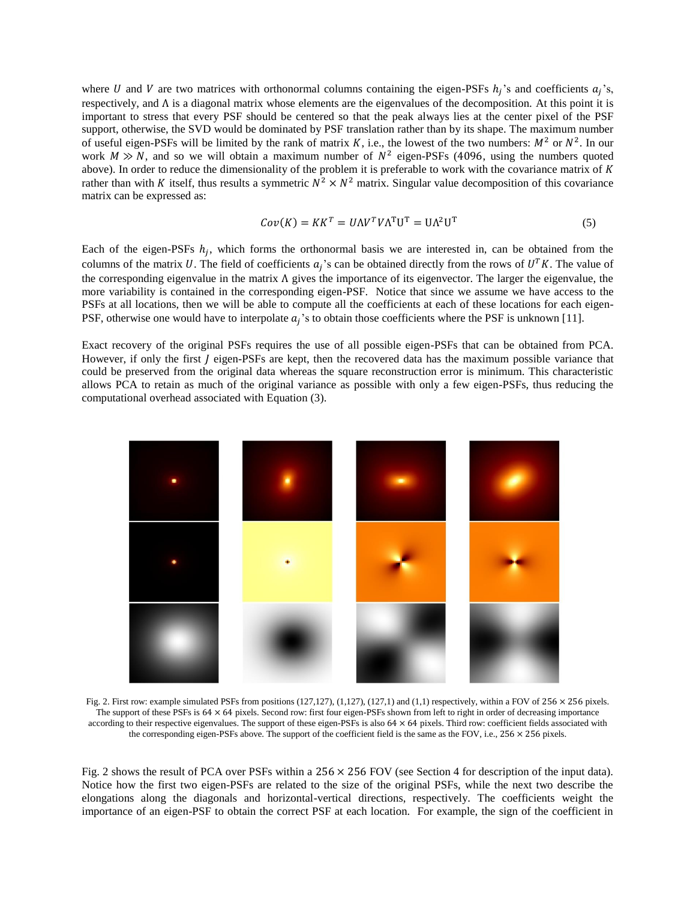where U and V are two matrices with orthonormal columns containing the eigen-PSFs  $h_j$ 's and coefficients  $a_j$ 's, respectively, and  $\Lambda$  is a diagonal matrix whose elements are the eigenvalues of the decomposition. At this point it is important to stress that every PSF should be centered so that the peak always lies at the center pixel of the PSF support, otherwise, the SVD would be dominated by PSF translation rather than by its shape. The maximum number of useful eigen-PSFs will be limited by the rank of matrix K, i.e., the lowest of the two numbers:  $M^2$  or  $N^2$ . In our work  $M \gg N$ , and so we will obtain a maximum number of  $N^2$  eigen-PSFs (4096, using the numbers quoted above). In order to reduce the dimensionality of the problem it is preferable to work with the covariance matrix of  $K$ rather than with K itself, thus results a symmetric  $N^2 \times N^2$  matrix. Singular value decomposition of this covariance matrix can be expressed as:

$$
Cov(K) = KK^T = U\Lambda V^T V\Lambda^T U^T = U\Lambda^2 U^T
$$
\n<sup>(5)</sup>

Each of the eigen-PSFs  $h_j$ , which forms the orthonormal basis we are interested in, can be obtained from the columns of the matrix U. The field of coefficients  $a_j$ 's can be obtained directly from the rows of  $U^T K$ . The value of the corresponding eigenvalue in the matrix  $\Lambda$  gives the importance of its eigenvector. The larger the eigenvalue, the more variability is contained in the corresponding eigen-PSF. Notice that since we assume we have access to the PSFs at all locations, then we will be able to compute all the coefficients at each of these locations for each eigen-PSF, otherwise one would have to interpolate  $a_j$ 's to obtain those coefficients where the PSF is unknown [11].

Exact recovery of the original PSFs requires the use of all possible eigen-PSFs that can be obtained from PCA. However, if only the first *I* eigen-PSFs are kept, then the recovered data has the maximum possible variance that could be preserved from the original data whereas the square reconstruction error is minimum. This characteristic allows PCA to retain as much of the original variance as possible with only a few eigen-PSFs, thus reducing the computational overhead associated with Equation (3).



Fig. 2. First row: example simulated PSFs from positions (127,127), (1,127), (127,1) and (1,1) respectively, within a FOV of  $256 \times 256$  pixels. The support of these PSFs is 64 × 64 pixels. Second row: first four eigen-PSFs shown from left to right in order of decreasing importance according to their respective eigenvalues. The support of these eigen-PSFs is also  $64 \times 64$  pixels. Third row: coefficient fields associated with the corresponding eigen-PSFs above. The support of the coefficient field is the same as the FOV, i.e.,  $256 \times 256$  pixels.

Fig. 2 shows the result of PCA over PSFs within a 256 × 256 FOV (see Section 4 for description of the input data). Notice how the first two eigen-PSFs are related to the size of the original PSFs, while the next two describe the elongations along the diagonals and horizontal-vertical directions, respectively. The coefficients weight the importance of an eigen-PSF to obtain the correct PSF at each location. For example, the sign of the coefficient in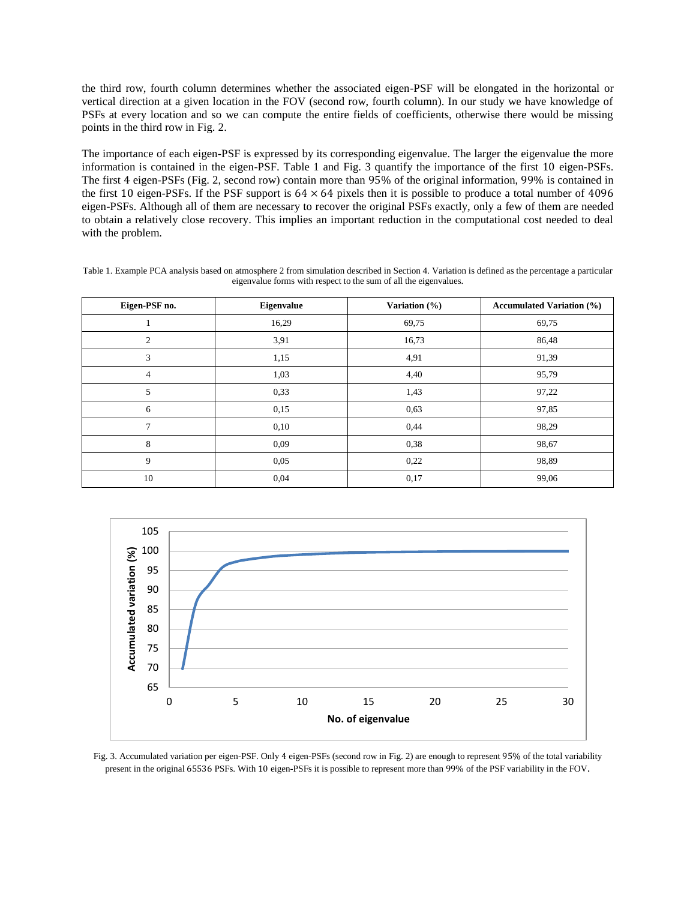the third row, fourth column determines whether the associated eigen-PSF will be elongated in the horizontal or vertical direction at a given location in the FOV (second row, fourth column). In our study we have knowledge of PSFs at every location and so we can compute the entire fields of coefficients, otherwise there would be missing points in the third row in Fig. 2.

The importance of each eigen-PSF is expressed by its corresponding eigenvalue. The larger the eigenvalue the more information is contained in the eigen-PSF. Table 1 and Fig. 3 quantify the importance of the first 10 eigen-PSFs. The first 4 eigen-PSFs (Fig. 2, second row) contain more than 95% of the original information, 99% is contained in the first 10 eigen-PSFs. If the PSF support is  $64 \times 64$  pixels then it is possible to produce a total number of  $4096$ eigen-PSFs. Although all of them are necessary to recover the original PSFs exactly, only a few of them are needed to obtain a relatively close recovery. This implies an important reduction in the computational cost needed to deal with the problem.

| Table 1. Example PCA analysis based on atmosphere 2 from simulation described in Section 4. Variation is defined as the percentage a particular |  |  |  |  |  |  |
|-------------------------------------------------------------------------------------------------------------------------------------------------|--|--|--|--|--|--|
| eigenvalue forms with respect to the sum of all the eigenvalues.                                                                                |  |  |  |  |  |  |

| Eigen-PSF no.  | <b>Eigenvalue</b> | Variation (%) | <b>Accumulated Variation (%)</b> |
|----------------|-------------------|---------------|----------------------------------|
|                | 16,29             | 69,75         | 69,75                            |
| 2              | 3,91              | 16,73         | 86,48                            |
| 3              | 1,15              | 4,91          | 91,39                            |
| $\overline{4}$ | 1,03              | 4,40          | 95,79                            |
| 5              | 0,33              | 1,43          | 97,22                            |
| 6              | 0,15              | 0,63          | 97,85                            |
| $\overline{7}$ | 0,10              | 0,44          | 98,29                            |
| 8              | 0,09              | 0,38          | 98,67                            |
| 9              | 0.05              | 0,22          | 98,89                            |
| 10             | 0,04              | 0,17          | 99,06                            |



Fig. 3. Accumulated variation per eigen-PSF. Only 4 eigen-PSFs (second row in Fig. 2) are enough to represent 95% of the total variability present in the original 65536 PSFs. With 10 eigen-PSFs it is possible to represent more than 99% of the PSF variability in the FOV.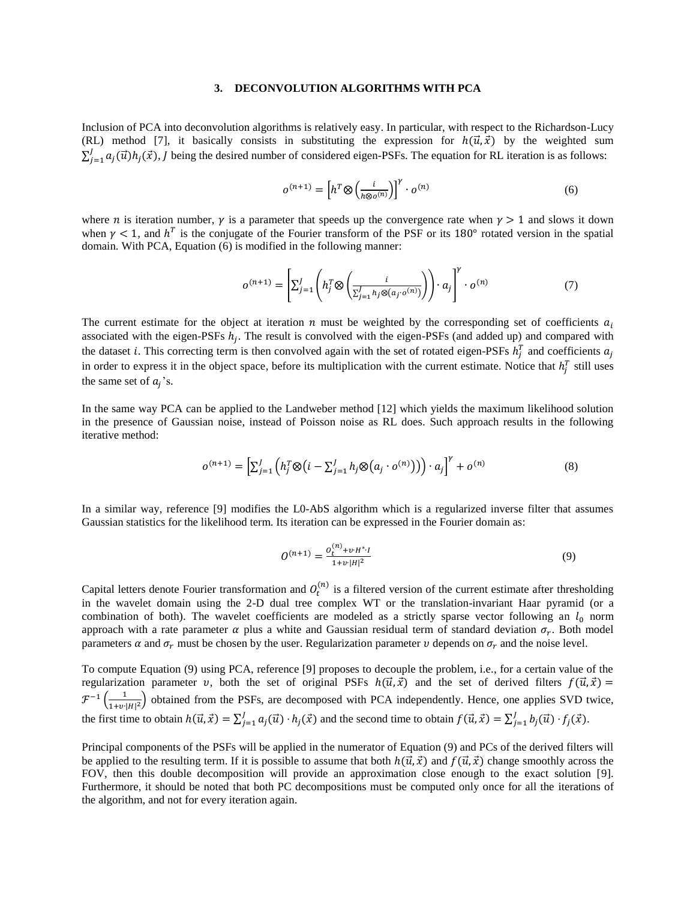### **3. DECONVOLUTION ALGORITHMS WITH PCA**

Inclusion of PCA into deconvolution algorithms is relatively easy. In particular, with respect to the Richardson-Lucy (RL) method [7], it basically consists in substituting the expression for  $h(\vec{u}, \vec{x})$  by the weighted sum  $\sum_{j=1}^{J} a_j(\vec{u})h_j(\vec{x})$ , J being the desired number of considered eigen-PSFs. The equation for RL iteration is as follows:

$$
o^{(n+1)} = \left[ h^T \otimes \left( \frac{i}{h \otimes o^{(n)}} \right) \right]^{\gamma} \cdot o^{(n)} \tag{6}
$$

where *n* is iteration number,  $\gamma$  is a parameter that speeds up the convergence rate when  $\gamma > 1$  and slows it down when  $\gamma$  < 1, and  $h^T$  is the conjugate of the Fourier transform of the PSF or its 180° rotated version in the spatial domain. With PCA, Equation (6) is modified in the following manner:

$$
o^{(n+1)} = \left[\sum_{j=1}^{J} \left(h_j^T \otimes \left(\frac{i}{\sum_{j=1}^{J} h_j \otimes (a_j \cdot o^{(n)})}\right)\right) \cdot a_j\right]^\gamma \cdot o^{(n)} \tag{7}
$$

The current estimate for the object at iteration  $n$  must be weighted by the corresponding set of coefficients  $a_i$ associated with the eigen-PSFs  $h_j$ . The result is convolved with the eigen-PSFs (and added up) and compared with the dataset *i*. This correcting term is then convolved again with the set of rotated eigen-PSFs  $h_j^T$  and coefficients  $a_j$ in order to express it in the object space, before its multiplication with the current estimate. Notice that  $h_j^T$  still uses the same set of  $a_j$ 's.

In the same way PCA can be applied to the Landweber method [12] which yields the maximum likelihood solution in the presence of Gaussian noise, instead of Poisson noise as RL does. Such approach results in the following iterative method:

$$
o^{(n+1)} = \left[\sum_{j=1}^{J} \left(h_j^T \otimes (i - \sum_{j=1}^{J} h_j \otimes (a_j \cdot o^{(n)}))\right) \cdot a_j\right]^{\gamma} + o^{(n)} \tag{8}
$$

In a similar way, reference [9] modifies the L0-AbS algorithm which is a regularized inverse filter that assumes Gaussian statistics for the likelihood term. Its iteration can be expressed in the Fourier domain as:

$$
O^{(n+1)} = \frac{o_t^{(n)} + v \cdot H^* \cdot I}{1 + v \cdot |H|^2} \tag{9}
$$

Capital letters denote Fourier transformation and  $O_t^{(n)}$  is a filtered version of the current estimate after thresholding in the wavelet domain using the 2-D dual tree complex WT or the translation-invariant Haar pyramid (or a combination of both). The wavelet coefficients are modeled as a strictly sparse vector following an  $l_0$  norm approach with a rate parameter  $\alpha$  plus a white and Gaussian residual term of standard deviation  $\sigma_r$ . Both model parameters  $\alpha$  and  $\sigma_r$  must be chosen by the user. Regularization parameter  $\nu$  depends on  $\sigma_r$  and the noise level.

To compute Equation (9) using PCA, reference [9] proposes to decouple the problem, i.e., for a certain value of the regularization parameter v, both the set of original PSFs  $h(\vec{u}, \vec{x})$  and the set of derived filters  $f(\vec{u}, \vec{x}) =$  $\mathcal{F}^{-1}\left(\frac{1}{\sqrt{1-\frac{1}{2}}}\right)$  $\frac{1}{1+v|H|^2}$ ) obtained from the PSFs, are decomposed with PCA independently. Hence, one applies SVD twice, the first time to obtain  $h(\vec{u}, \vec{x}) = \sum_{j=1}^{J} a_j(\vec{u}) \cdot h_j(\vec{x})$  and the second time to obtain  $f(\vec{u}, \vec{x}) = \sum_{j=1}^{J} b_j(\vec{u}) \cdot f_j(\vec{x})$ .

Principal components of the PSFs will be applied in the numerator of Equation (9) and PCs of the derived filters will be applied to the resulting term. If it is possible to assume that both  $h(\vec{u}, \vec{x})$  and  $f(\vec{u}, \vec{x})$  change smoothly across the FOV, then this double decomposition will provide an approximation close enough to the exact solution [9]. Furthermore, it should be noted that both PC decompositions must be computed only once for all the iterations of the algorithm, and not for every iteration again.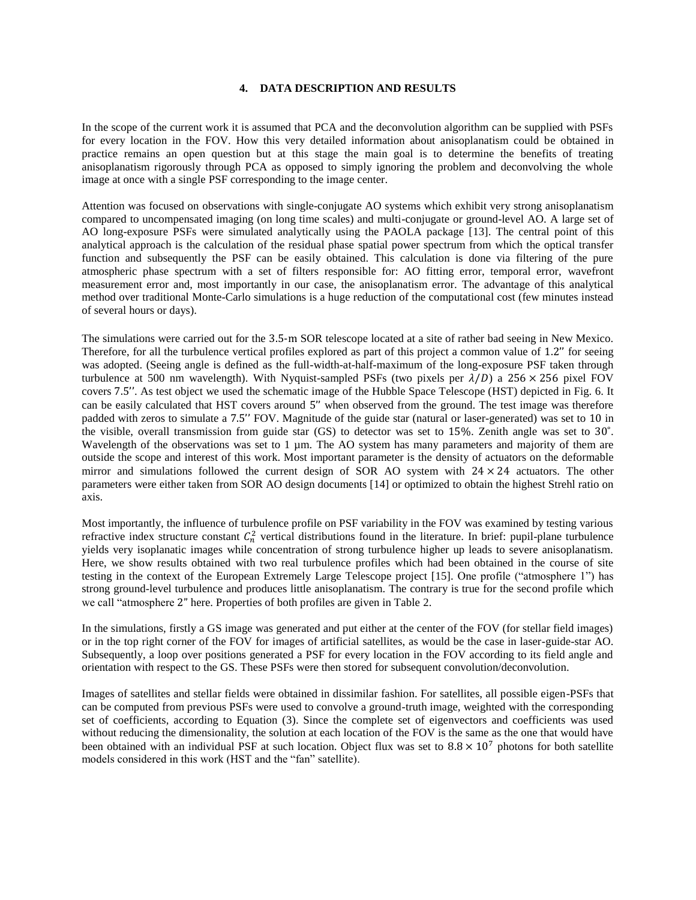## **4. DATA DESCRIPTION AND RESULTS**

In the scope of the current work it is assumed that PCA and the deconvolution algorithm can be supplied with PSFs for every location in the FOV. How this very detailed information about anisoplanatism could be obtained in practice remains an open question but at this stage the main goal is to determine the benefits of treating anisoplanatism rigorously through PCA as opposed to simply ignoring the problem and deconvolving the whole image at once with a single PSF corresponding to the image center.

Attention was focused on observations with single-conjugate AO systems which exhibit very strong anisoplanatism compared to uncompensated imaging (on long time scales) and multi-conjugate or ground-level AO. A large set of AO long-exposure PSFs were simulated analytically using the PAOLA package [13]. The central point of this analytical approach is the calculation of the residual phase spatial power spectrum from which the optical transfer function and subsequently the PSF can be easily obtained. This calculation is done via filtering of the pure atmospheric phase spectrum with a set of filters responsible for: AO fitting error, temporal error, wavefront measurement error and, most importantly in our case, the anisoplanatism error. The advantage of this analytical method over traditional Monte-Carlo simulations is a huge reduction of the computational cost (few minutes instead of several hours or days).

The simulations were carried out for the 3.5-m SOR telescope located at a site of rather bad seeing in New Mexico. Therefore, for all the turbulence vertical profiles explored as part of this project a common value of 1.2'' for seeing was adopted. (Seeing angle is defined as the full-width-at-half-maximum of the long-exposure PSF taken through turbulence at 500 nm wavelength). With Nyquist-sampled PSFs (two pixels per  $\lambda/D$ ) a 256 × 256 pixel FOV covers 7.5''. As test object we used the schematic image of the Hubble Space Telescope (HST) depicted in Fig. 6. It can be easily calculated that HST covers around 5'' when observed from the ground. The test image was therefore padded with zeros to simulate a 7.5'' FOV. Magnitude of the guide star (natural or laser-generated) was set to 10 in the visible, overall transmission from guide star (GS) to detector was set to 15%. Zenith angle was set to 30˚. Wavelength of the observations was set to  $1 \mu m$ . The AO system has many parameters and majority of them are outside the scope and interest of this work. Most important parameter is the density of actuators on the deformable mirror and simulations followed the current design of SOR AO system with  $24 \times 24$  actuators. The other parameters were either taken from SOR AO design documents [14] or optimized to obtain the highest Strehl ratio on axis.

Most importantly, the influence of turbulence profile on PSF variability in the FOV was examined by testing various refractive index structure constant  $C_n^2$  vertical distributions found in the literature. In brief: pupil-plane turbulence yields very isoplanatic images while concentration of strong turbulence higher up leads to severe anisoplanatism. Here, we show results obtained with two real turbulence profiles which had been obtained in the course of site testing in the context of the European Extremely Large Telescope project [15]. One profile ("atmosphere 1") has strong ground-level turbulence and produces little anisoplanatism. The contrary is true for the second profile which we call "atmosphere 2" here. Properties of both profiles are given in Table 2.

In the simulations, firstly a GS image was generated and put either at the center of the FOV (for stellar field images) or in the top right corner of the FOV for images of artificial satellites, as would be the case in laser-guide-star AO. Subsequently, a loop over positions generated a PSF for every location in the FOV according to its field angle and orientation with respect to the GS. These PSFs were then stored for subsequent convolution/deconvolution.

Images of satellites and stellar fields were obtained in dissimilar fashion. For satellites, all possible eigen-PSFs that can be computed from previous PSFs were used to convolve a ground-truth image, weighted with the corresponding set of coefficients, according to Equation (3). Since the complete set of eigenvectors and coefficients was used without reducing the dimensionality, the solution at each location of the FOV is the same as the one that would have been obtained with an individual PSF at such location. Object flux was set to  $8.8 \times 10^7$  photons for both satellite models considered in this work (HST and the "fan" satellite).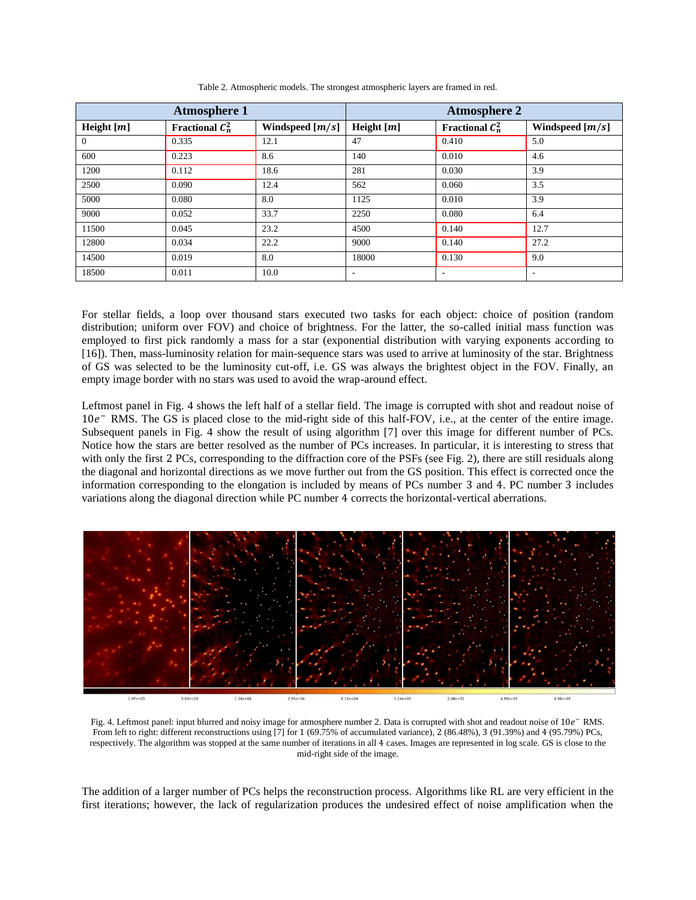| <b>Atmosphere 1</b> |                    |                   | <b>Atmosphere 2</b>      |                          |                   |
|---------------------|--------------------|-------------------|--------------------------|--------------------------|-------------------|
| Height $[m]$        | Fractional $C_n^2$ | Windspeed $[m/s]$ | Height $[m]$             | Fractional $C_n^2$       | Windspeed $[m/s]$ |
| $\theta$            | 0.335              | 12.1              | 47                       | 0.410                    | 5.0               |
| 600                 | 0.223              | 8.6               | 140                      | 0.010                    | 4.6               |
| 1200                | 0.112              | 18.6              | 281                      | 0.030                    | 3.9               |
| 2500                | 0.090              | 12.4              | 562                      | 0.060                    | 3.5               |
| 5000                | 0.080              | 8.0               | 1125                     | 0.010                    | 3.9               |
| 9000                | 0.052              | 33.7              | 2250                     | 0.080                    | 6.4               |
| 11500               | 0.045              | 23.2              | 4500                     | 0.140                    | 12.7              |
| 12800               | 0.034              | 22.2              | 9000                     | 0.140                    | 27.2              |
| 14500               | 0.019              | 8.0               | 18000                    | 0.130                    | 9.0               |
| 18500               | 0.011              | 10.0              | $\overline{\phantom{a}}$ | $\overline{\phantom{a}}$ | ٠                 |

Table 2. Atmospheric models. The strongest atmospheric layers are framed in red.

For stellar fields, a loop over thousand stars executed two tasks for each object: choice of position (random distribution; uniform over FOV) and choice of brightness. For the latter, the so-called initial mass function was employed to first pick randomly a mass for a star (exponential distribution with varying exponents according to [16]). Then, mass-luminosity relation for main-sequence stars was used to arrive at luminosity of the star. Brightness of GS was selected to be the luminosity cut-off, i.e. GS was always the brightest object in the FOV. Finally, an empty image border with no stars was used to avoid the wrap-around effect.

Leftmost panel in Fig. 4 shows the left half of a stellar field. The image is corrupted with shot and readout noise of 10 <sup>−</sup> RMS. The GS is placed close to the mid-right side of this half-FOV, i.e., at the center of the entire image. Subsequent panels in Fig. 4 show the result of using algorithm [7] over this image for different number of PCs. Notice how the stars are better resolved as the number of PCs increases. In particular, it is interesting to stress that with only the first 2 PCs, corresponding to the diffraction core of the PSFs (see Fig. 2), there are still residuals along the diagonal and horizontal directions as we move further out from the GS position. This effect is corrected once the information corresponding to the elongation is included by means of PCs number 3 and 4. PC number 3 includes variations along the diagonal direction while PC number 4 corrects the horizontal-vertical aberrations.



Fig. 4. Leftmost panel: input blurred and noisy image for atmosphere number 2. Data is corrupted with shot and readout noise of 10e<sup>−</sup> RMS. From left to right: different reconstructions using [7] for 1 (69.75% of accumulated variance), 2 (86.48%), 3 (91.39%) and 4 (95.79%) PCs, respectively. The algorithm was stopped at the same number of iterations in all 4 cases. Images are represented in log scale. GS is close to the mid-right side of the image.

The addition of a larger number of PCs helps the reconstruction process. Algorithms like RL are very efficient in the first iterations; however, the lack of regularization produces the undesired effect of noise amplification when the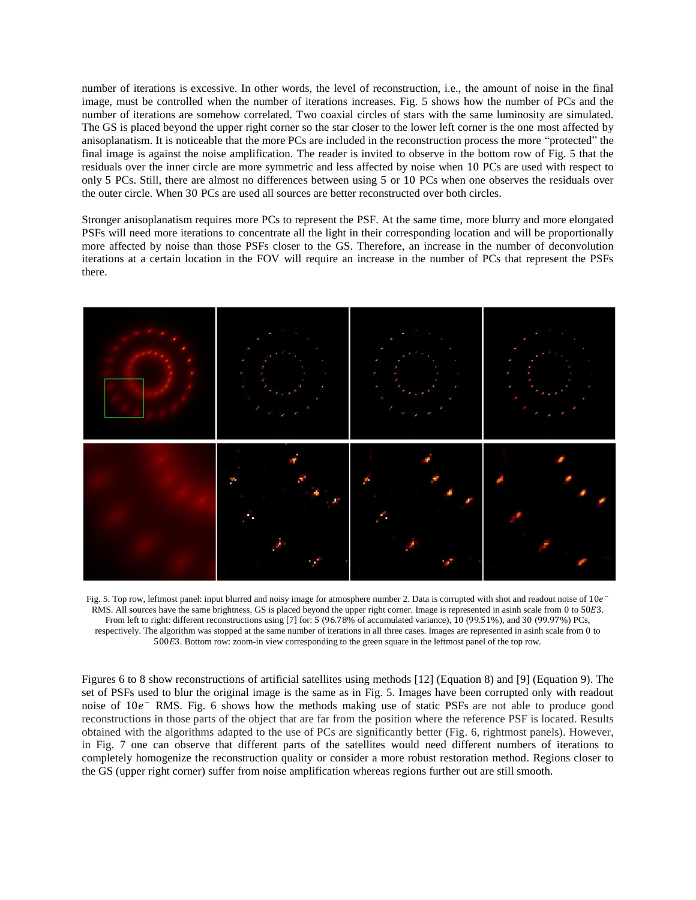number of iterations is excessive. In other words, the level of reconstruction, i.e., the amount of noise in the final image, must be controlled when the number of iterations increases. Fig. 5 shows how the number of PCs and the number of iterations are somehow correlated. Two coaxial circles of stars with the same luminosity are simulated. The GS is placed beyond the upper right corner so the star closer to the lower left corner is the one most affected by anisoplanatism. It is noticeable that the more PCs are included in the reconstruction process the more "protected" the final image is against the noise amplification. The reader is invited to observe in the bottom row of Fig. 5 that the residuals over the inner circle are more symmetric and less affected by noise when 10 PCs are used with respect to only 5 PCs. Still, there are almost no differences between using 5 or 10 PCs when one observes the residuals over the outer circle. When 30 PCs are used all sources are better reconstructed over both circles.

Stronger anisoplanatism requires more PCs to represent the PSF. At the same time, more blurry and more elongated PSFs will need more iterations to concentrate all the light in their corresponding location and will be proportionally more affected by noise than those PSFs closer to the GS. Therefore, an increase in the number of deconvolution iterations at a certain location in the FOV will require an increase in the number of PCs that represent the PSFs there.



Fig. 5. Top row, leftmost panel: input blurred and noisy image for atmosphere number 2. Data is corrupted with shot and readout noise of  $10e^-$ RMS. All sources have the same brightness. GS is placed beyond the upper right corner. Image is represented in asinh scale from 0 to 50E3. From left to right: different reconstructions using [7] for: 5 (96.78% of accumulated variance), 10 (99.51%), and 30 (99.97%) PCs, respectively. The algorithm was stopped at the same number of iterations in all three cases. Images are represented in asinh scale from 0 to 5003. Bottom row: zoom-in view corresponding to the green square in the leftmost panel of the top row.

Figures 6 to 8 show reconstructions of artificial satellites using methods [12] (Equation 8) and [9] (Equation 9). The set of PSFs used to blur the original image is the same as in Fig. 5. Images have been corrupted only with readout noise of 10e<sup>-</sup> RMS. Fig. 6 shows how the methods making use of static PSFs are not able to produce good reconstructions in those parts of the object that are far from the position where the reference PSF is located. Results obtained with the algorithms adapted to the use of PCs are significantly better (Fig. 6, rightmost panels). However, in Fig. 7 one can observe that different parts of the satellites would need different numbers of iterations to completely homogenize the reconstruction quality or consider a more robust restoration method. Regions closer to the GS (upper right corner) suffer from noise amplification whereas regions further out are still smooth.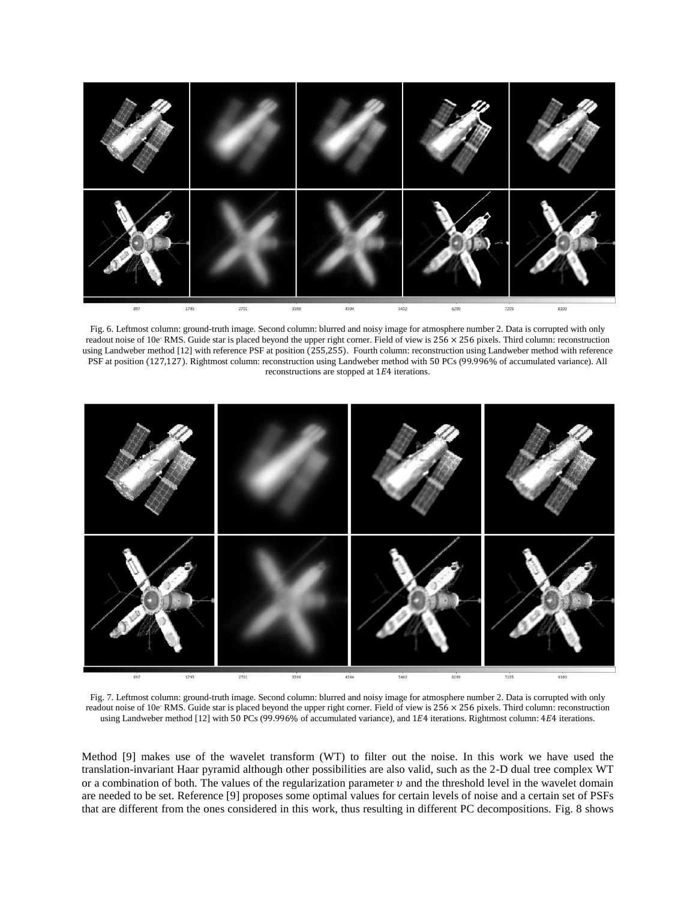

Fig. 6. Leftmost column: ground-truth image. Second column: blurred and noisy image for atmosphere number 2. Data is corrupted with only readout noise of 10e<sup>-</sup> RMS. Guide star is placed beyond the upper right corner. Field of view is  $256 \times 256$  pixels. Third column: reconstruction using Landweber method [12] with reference PSF at position (255,255). Fourth column: reconstruction using Landweber method with reference PSF at position (127,127). Rightmost column: reconstruction using Landweber method with 50 PCs (99.996% of accumulated variance). All reconstructions are stopped at  $1E4$  iterations.



Fig. 7. Leftmost column: ground-truth image. Second column: blurred and noisy image for atmosphere number 2. Data is corrupted with only readout noise of 10e<sup>-</sup> RMS. Guide star is placed beyond the upper right corner. Field of view is 256 × 256 pixels. Third column: reconstruction using Landweber method [12] with 50 PCs (99.996% of accumulated variance), and 1E4 iterations. Rightmost column: 4E4 iterations.

Method [9] makes use of the wavelet transform (WT) to filter out the noise. In this work we have used the translation-invariant Haar pyramid although other possibilities are also valid, such as the 2-D dual tree complex WT or a combination of both. The values of the regularization parameter  $\nu$  and the threshold level in the wavelet domain are needed to be set. Reference [9] proposes some optimal values for certain levels of noise and a certain set of PSFs that are different from the ones considered in this work, thus resulting in different PC decompositions. Fig. 8 shows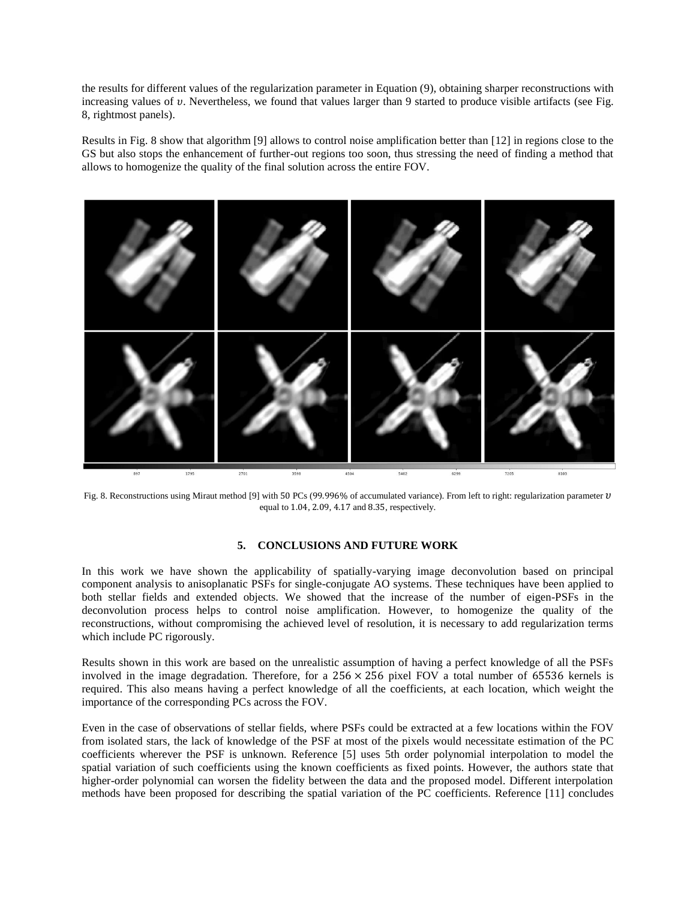the results for different values of the regularization parameter in Equation (9), obtaining sharper reconstructions with increasing values of  $v$ . Nevertheless, we found that values larger than 9 started to produce visible artifacts (see Fig. 8, rightmost panels).

Results in Fig. 8 show that algorithm [9] allows to control noise amplification better than [12] in regions close to the GS but also stops the enhancement of further-out regions too soon, thus stressing the need of finding a method that allows to homogenize the quality of the final solution across the entire FOV.



Fig. 8. Reconstructions using Miraut method [9] with 50 PCs (99.996% of accumulated variance). From left to right: regularization parameter  $v$ equal to 1.04, 2.09, 4.17 and 8.35, respectively.

## **5. CONCLUSIONS AND FUTURE WORK**

In this work we have shown the applicability of spatially-varying image deconvolution based on principal component analysis to anisoplanatic PSFs for single-conjugate AO systems. These techniques have been applied to both stellar fields and extended objects. We showed that the increase of the number of eigen-PSFs in the deconvolution process helps to control noise amplification. However, to homogenize the quality of the reconstructions, without compromising the achieved level of resolution, it is necessary to add regularization terms which include PC rigorously.

Results shown in this work are based on the unrealistic assumption of having a perfect knowledge of all the PSFs involved in the image degradation. Therefore, for a  $256 \times 256$  pixel FOV a total number of 65536 kernels is required. This also means having a perfect knowledge of all the coefficients, at each location, which weight the importance of the corresponding PCs across the FOV.

Even in the case of observations of stellar fields, where PSFs could be extracted at a few locations within the FOV from isolated stars, the lack of knowledge of the PSF at most of the pixels would necessitate estimation of the PC coefficients wherever the PSF is unknown. Reference [5] uses 5th order polynomial interpolation to model the spatial variation of such coefficients using the known coefficients as fixed points. However, the authors state that higher-order polynomial can worsen the fidelity between the data and the proposed model. Different interpolation methods have been proposed for describing the spatial variation of the PC coefficients. Reference [11] concludes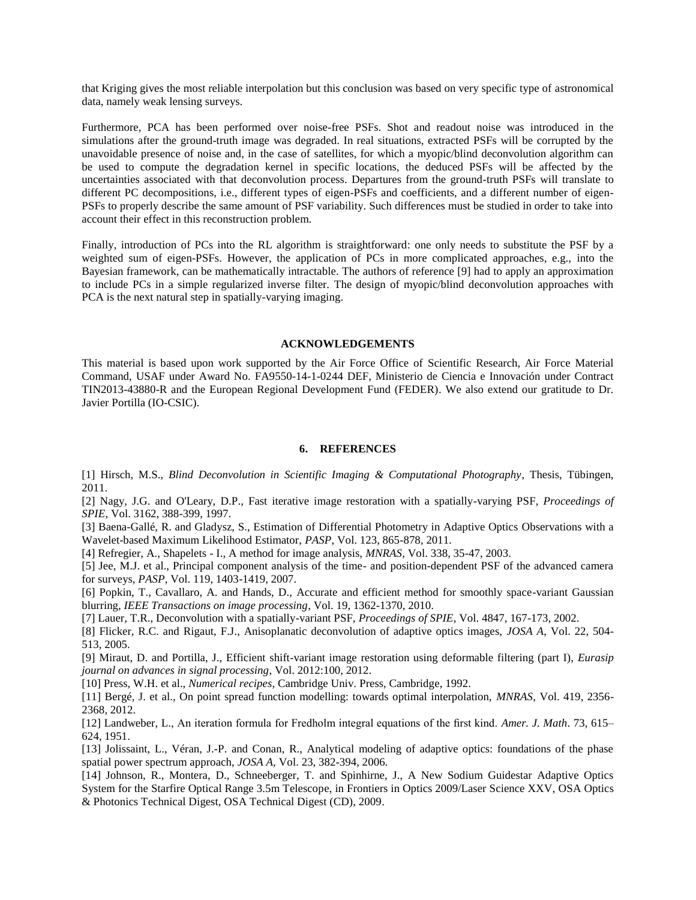that Kriging gives the most reliable interpolation but this conclusion was based on very specific type of astronomical data, namely weak lensing surveys.

Furthermore, PCA has been performed over noise-free PSFs. Shot and readout noise was introduced in the simulations after the ground-truth image was degraded. In real situations, extracted PSFs will be corrupted by the unavoidable presence of noise and, in the case of satellites, for which a myopic/blind deconvolution algorithm can be used to compute the degradation kernel in specific locations, the deduced PSFs will be affected by the uncertainties associated with that deconvolution process. Departures from the ground-truth PSFs will translate to different PC decompositions, i.e., different types of eigen-PSFs and coefficients, and a different number of eigen-PSFs to properly describe the same amount of PSF variability. Such differences must be studied in order to take into account their effect in this reconstruction problem.

Finally, introduction of PCs into the RL algorithm is straightforward: one only needs to substitute the PSF by a weighted sum of eigen-PSFs. However, the application of PCs in more complicated approaches, e.g., into the Bayesian framework, can be mathematically intractable. The authors of reference [9] had to apply an approximation to include PCs in a simple regularized inverse filter. The design of myopic/blind deconvolution approaches with PCA is the next natural step in spatially-varying imaging.

### **ACKNOWLEDGEMENTS**

This material is based upon work supported by the Air Force Office of Scientific Research, Air Force Material Command, USAF under Award No. FA9550-14-1-0244 DEF, Ministerio de Ciencia e Innovación under Contract TIN2013-43880-R and the European Regional Development Fund (FEDER). We also extend our gratitude to Dr. Javier Portilla (IO-CSIC).

## **6. REFERENCES**

[1] Hirsch, M.S., *Blind Deconvolution in Scientific Imaging & Computational Photography*, Thesis, Tübingen, 2011.

[2] Nagy, J.G. and O'Leary, D.P., Fast iterative image restoration with a spatially-varying PSF, *Proceedings of SPIE*, Vol. 3162, 388-399, 1997.

[3] Baena-Gallé, R. and Gladysz, S., Estimation of Differential Photometry in Adaptive Optics Observations with a Wavelet-based Maximum Likelihood Estimator, *PASP*, Vol. 123, 865-878, 2011.

[4] Refregier, A., Shapelets - I., A method for image analysis, *MNRAS*, Vol. 338, 35-47, 2003.

[5] Jee, M.J. et al., Principal component analysis of the time- and position-dependent PSF of the advanced camera for surveys, *PASP*, Vol. 119, 1403-1419, 2007.

[6] Popkin, T., Cavallaro, A. and Hands, D., Accurate and efficient method for smoothly space-variant Gaussian blurring, *IEEE Transactions on image processing*, Vol. 19, 1362-1370, 2010.

[7] Lauer, T.R., Deconvolution with a spatially-variant PSF, *Proceedings of SPIE*, Vol. 4847, 167-173, 2002.

[8] Flicker, R.C. and Rigaut, F.J., Anisoplanatic deconvolution of adaptive optics images, *JOSA A*, Vol. 22, 504- 513, 2005.

[9] Miraut, D. and Portilla, J., Efficient shift-variant image restoration using deformable filtering (part I), *Eurasip journal on advances in signal processing*, Vol. 2012:100, 2012.

[10] Press, W.H. et al., *Numerical recipes*, Cambridge Univ. Press, Cambridge, 1992.

[11] Bergé, J. et al., On point spread function modelling: towards optimal interpolation, *MNRAS*, Vol. 419, 2356- 2368, 2012.

[12] Landweber, L., An iteration formula for Fredholm integral equations of the first kind. *Amer. J. Math*. 73, 615– 624, 1951.

[13] Jolissaint, L., Véran, J.-P. and Conan, R., Analytical modeling of adaptive optics: foundations of the phase spatial power spectrum approach, *JOSA A,* Vol. 23, 382-394, 2006.

[14] Johnson, R., Montera, D., Schneeberger, T. and Spinhirne, J., A New Sodium Guidestar Adaptive Optics System for the Starfire Optical Range 3.5m Telescope, in Frontiers in Optics 2009/Laser Science XXV, OSA Optics & Photonics Technical Digest, OSA Technical Digest (CD), 2009.